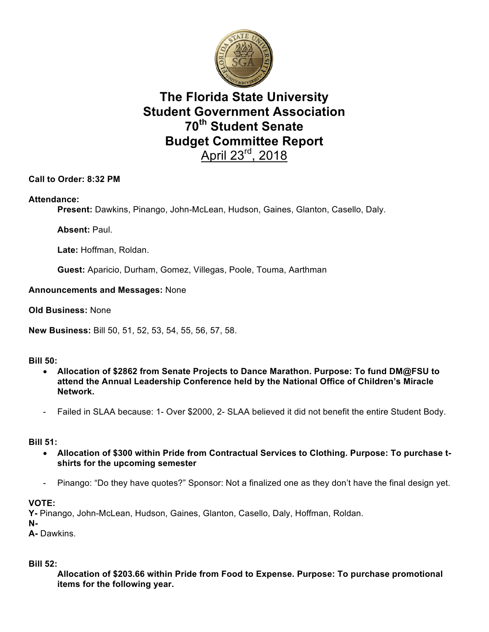

# **The Florida State University Student Government Association 70th Student Senate Budget Committee Report**  April 23rd, 2018

## **Call to Order: 8:32 PM**

#### **Attendance:**

**Present:** Dawkins, Pinango, John-McLean, Hudson, Gaines, Glanton, Casello, Daly.

**Absent:** Paul.

**Late:** Hoffman, Roldan.

**Guest:** Aparicio, Durham, Gomez, Villegas, Poole, Touma, Aarthman

#### **Announcements and Messages:** None

**Old Business:** None

**New Business:** Bill 50, 51, 52, 53, 54, 55, 56, 57, 58.

#### **Bill 50:**

- **Allocation of \$2862 from Senate Projects to Dance Marathon. Purpose: To fund DM@FSU to attend the Annual Leadership Conference held by the National Office of Children's Miracle Network.**
- Failed in SLAA because: 1- Over \$2000, 2- SLAA believed it did not benefit the entire Student Body.

#### **Bill 51:**

- **Allocation of \$300 within Pride from Contractual Services to Clothing. Purpose: To purchase tshirts for the upcoming semester**
- Pinango: "Do they have quotes?" Sponsor: Not a finalized one as they don't have the final design yet.

#### **VOTE:**

**Y-** Pinango, John-McLean, Hudson, Gaines, Glanton, Casello, Daly, Hoffman, Roldan.

**N-**

**A-** Dawkins.

#### **Bill 52:**

**Allocation of \$203.66 within Pride from Food to Expense. Purpose: To purchase promotional items for the following year.**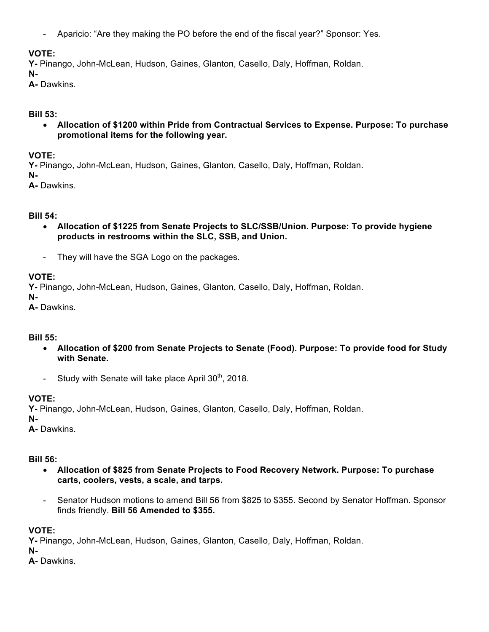- Aparicio: "Are they making the PO before the end of the fiscal year?" Sponsor: Yes.

## **VOTE:**

**Y-** Pinango, John-McLean, Hudson, Gaines, Glanton, Casello, Daly, Hoffman, Roldan.

#### **N-**

**A-** Dawkins.

#### **Bill 53:**

• **Allocation of \$1200 within Pride from Contractual Services to Expense. Purpose: To purchase promotional items for the following year.**

## **VOTE:**

**Y-** Pinango, John-McLean, Hudson, Gaines, Glanton, Casello, Daly, Hoffman, Roldan.

**N-**

**A-** Dawkins.

## **Bill 54:**

- **Allocation of \$1225 from Senate Projects to SLC/SSB/Union. Purpose: To provide hygiene products in restrooms within the SLC, SSB, and Union.**
- They will have the SGA Logo on the packages.

## **VOTE:**

**Y-** Pinango, John-McLean, Hudson, Gaines, Glanton, Casello, Daly, Hoffman, Roldan.

**N-**

**A-** Dawkins.

## **Bill 55:**

- **Allocation of \$200 from Senate Projects to Senate (Food). Purpose: To provide food for Study with Senate.**
- Study with Senate will take place April  $30<sup>th</sup>$ , 2018.

## **VOTE:**

**Y-** Pinango, John-McLean, Hudson, Gaines, Glanton, Casello, Daly, Hoffman, Roldan.

**N-**

**A-** Dawkins.

## **Bill 56:**

- **Allocation of \$825 from Senate Projects to Food Recovery Network. Purpose: To purchase carts, coolers, vests, a scale, and tarps.**
- Senator Hudson motions to amend Bill 56 from \$825 to \$355. Second by Senator Hoffman. Sponsor finds friendly. **Bill 56 Amended to \$355.**

## **VOTE:**

**Y-** Pinango, John-McLean, Hudson, Gaines, Glanton, Casello, Daly, Hoffman, Roldan.

**N-**

**A-** Dawkins.